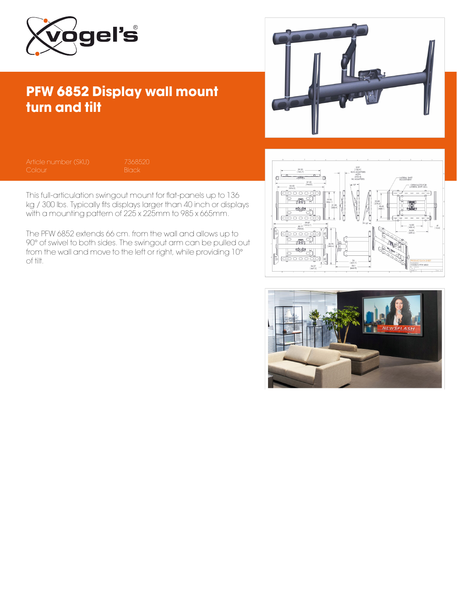

## PFW 6852 Display wall mount turn and tilt



This full-articulation swingout mount for flat-panels up to 136 kg / 300 lbs. Typically fits displays larger than 40 inch or displays with a mounting pattern of 225 x 225mm to 985 x 665mm.

The PFW 6852 extends 66 cm. from the wall and allows up to 90° of swivel to both sides. The swingout arm can be pulled out from the wall and move to the left or right, while providing 10° of tilt.